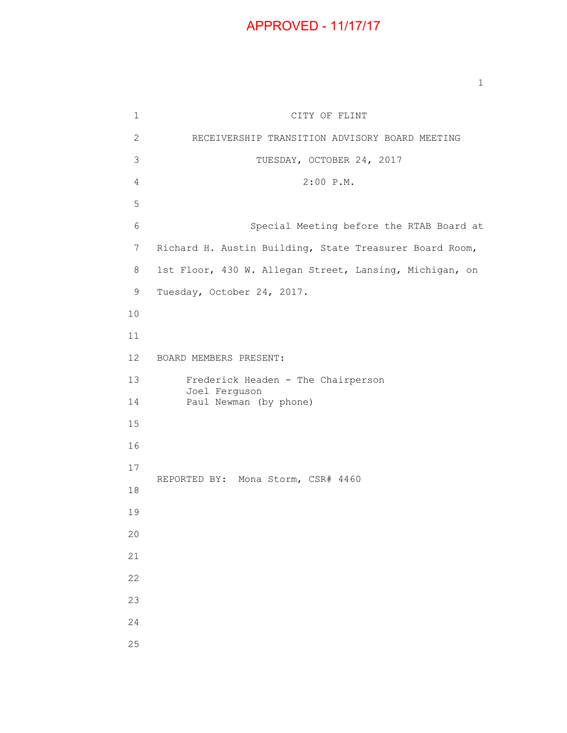## APPROVED - 11/17/17

1 CITY OF FLINT 2 RECEIVERSHIP TRANSITION ADVISORY BOARD MEETING 3 TUESDAY, OCTOBER 24, 2017 4 2:00 P.M. 5 6 Special Meeting before the RTAB Board at 7 Richard H. Austin Building, State Treasurer Board Room, 8 1st Floor, 430 W. Allegan Street, Lansing, Michigan, on 9 Tuesday, October 24, 2017. 10 11 12 BOARD MEMBERS PRESENT: 13 Frederick Headen - The Chairperson Joel Ferguson 14 Paul Newman (by phone) 15 16 17 REPORTED BY: Mona Storm, CSR# 4460 18 19 20 21 22 23 24 25

1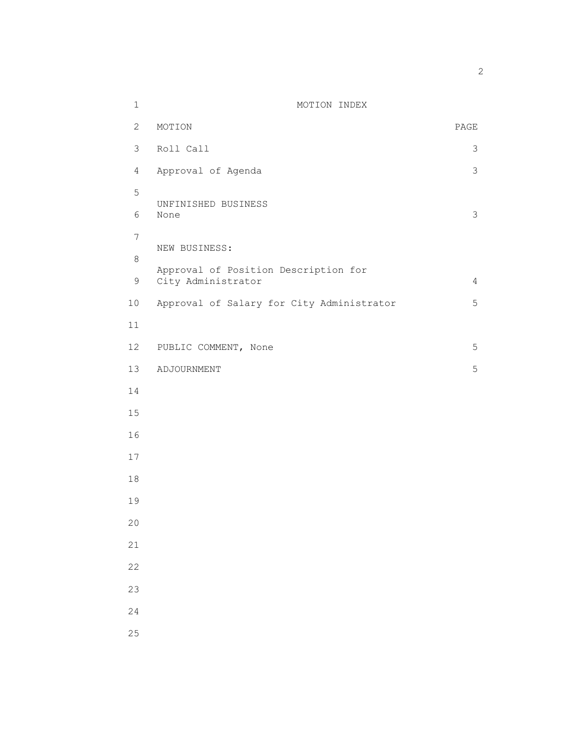| $1\,$          | MOTION INDEX                              |                |
|----------------|-------------------------------------------|----------------|
| 2              | MOTION                                    | PAGE           |
| $\mathfrak{Z}$ | Roll Call                                 | 3              |
| $\overline{4}$ | Approval of Agenda                        | 3              |
| 5              | UNFINISHED BUSINESS                       |                |
| 6              | None                                      | 3              |
| $\overline{7}$ | NEW BUSINESS:                             |                |
| 8              | Approval of Position Description for      |                |
| $\mathsf 9$    | City Administrator                        | $\overline{4}$ |
| 10             | Approval of Salary for City Administrator | 5              |
| 11             |                                           |                |
| 12             | PUBLIC COMMENT, None                      | 5              |
| 13             | ADJOURNMENT                               | 5              |
| 14             |                                           |                |
| 15             |                                           |                |
| 16             |                                           |                |
| 17             |                                           |                |
| 18             |                                           |                |
| 19             |                                           |                |
| 20             |                                           |                |
| 21             |                                           |                |
| 22             |                                           |                |
| 23             |                                           |                |
| 24             |                                           |                |
| 25             |                                           |                |

2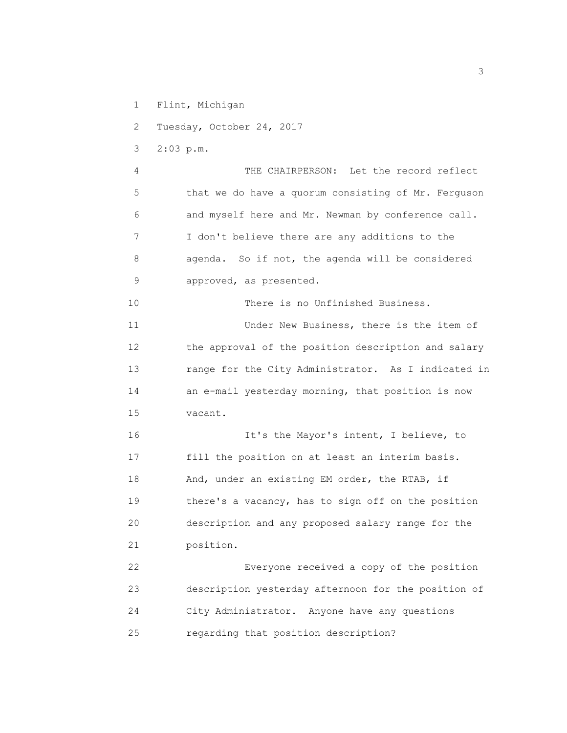- 1 Flint, Michigan
- 2 Tuesday, October 24, 2017
- 3 2:03 p.m.

 4 THE CHAIRPERSON: Let the record reflect 5 that we do have a quorum consisting of Mr. Ferguson 6 and myself here and Mr. Newman by conference call. 7 I don't believe there are any additions to the 8 agenda. So if not, the agenda will be considered 9 approved, as presented.

 10 There is no Unfinished Business. 11 Under New Business, there is the item of 12 the approval of the position description and salary 13 range for the City Administrator. As I indicated in 14 an e-mail yesterday morning, that position is now 15 vacant.

16 16 It's the Mayor's intent, I believe, to 17 fill the position on at least an interim basis. 18 And, under an existing EM order, the RTAB, if 19 there's a vacancy, has to sign off on the position 20 description and any proposed salary range for the 21 position.

 22 Everyone received a copy of the position 23 description yesterday afternoon for the position of 24 City Administrator. Anyone have any questions 25 regarding that position description?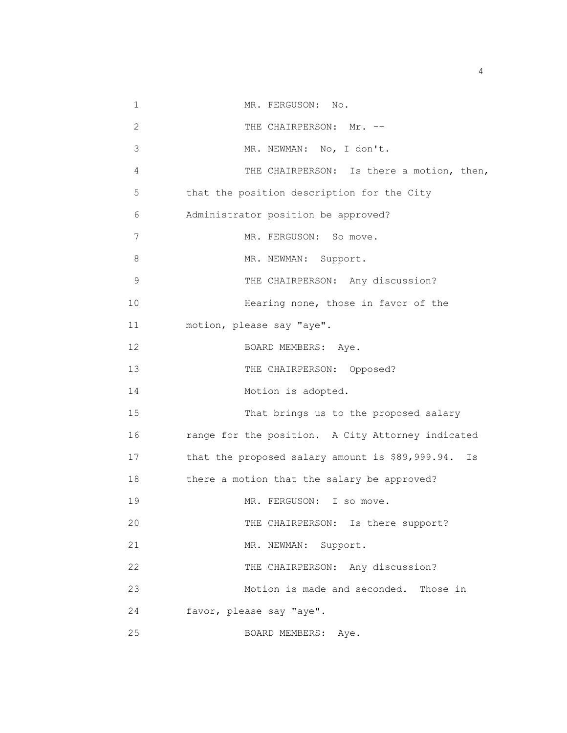| 1            | MR. FERGUSON: No.                                     |
|--------------|-------------------------------------------------------|
| $\mathbf{2}$ | THE CHAIRPERSON: Mr. --                               |
| 3            | MR. NEWMAN: No, I don't.                              |
| 4            | THE CHAIRPERSON: Is there a motion, then,             |
| 5            | that the position description for the City            |
| 6            | Administrator position be approved?                   |
| 7            | MR. FERGUSON: So move.                                |
| 8            | MR. NEWMAN: Support.                                  |
| $\mathsf 9$  | THE CHAIRPERSON: Any discussion?                      |
| 10           | Hearing none, those in favor of the                   |
| 11           | motion, please say "aye".                             |
| 12           | BOARD MEMBERS: Aye.                                   |
| 13           | THE CHAIRPERSON: Opposed?                             |
| 14           | Motion is adopted.                                    |
| 15           | That brings us to the proposed salary                 |
| 16           | range for the position. A City Attorney indicated     |
| 17           | that the proposed salary amount is \$89,999.94.<br>Is |
| 18           | there a motion that the salary be approved?           |
| 19           | MR. FERGUSON: I so move.                              |
| 20           | THE CHAIRPERSON: Is there support?                    |
| 21           | Support.<br>MR. NEWMAN:                               |
| 22           | THE CHAIRPERSON: Any discussion?                      |
| 23           | Motion is made and seconded. Those in                 |
| 24           | favor, please say "aye".                              |
| 25           | BOARD MEMBERS:<br>Aye.                                |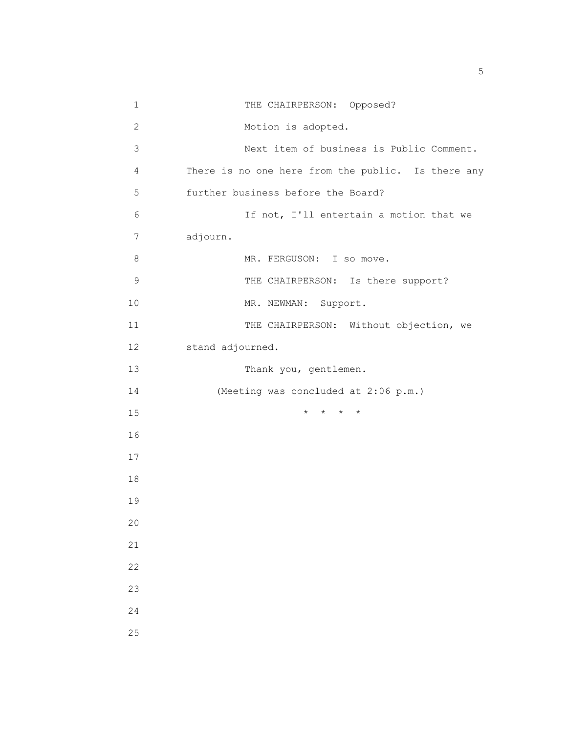| $\mathbf 1$     | THE CHAIRPERSON: Opposed?                          |
|-----------------|----------------------------------------------------|
| $\mathbf{2}$    | Motion is adopted.                                 |
| 3               | Next item of business is Public Comment.           |
| 4               | There is no one here from the public. Is there any |
| 5               | further business before the Board?                 |
| 6               | If not, I'll entertain a motion that we            |
| 7               | adjourn.                                           |
| 8               | MR. FERGUSON: I so move.                           |
| $\mathsf 9$     | THE CHAIRPERSON: Is there support?                 |
| 10              | MR. NEWMAN: Support.                               |
| 11              | THE CHAIRPERSON: Without objection, we             |
| 12 <sup>°</sup> | stand adjourned.                                   |
| 13              | Thank you, gentlemen.                              |
| 14              | (Meeting was concluded at 2:06 p.m.)               |
| 15              | $\star$<br>$\star$<br>$\star$                      |
| 16              |                                                    |
| 17              |                                                    |
| 18              |                                                    |
| 19              |                                                    |
| 20              |                                                    |
| 21              |                                                    |
| 22              |                                                    |
| 23              |                                                    |
| 24              |                                                    |
| 25              |                                                    |